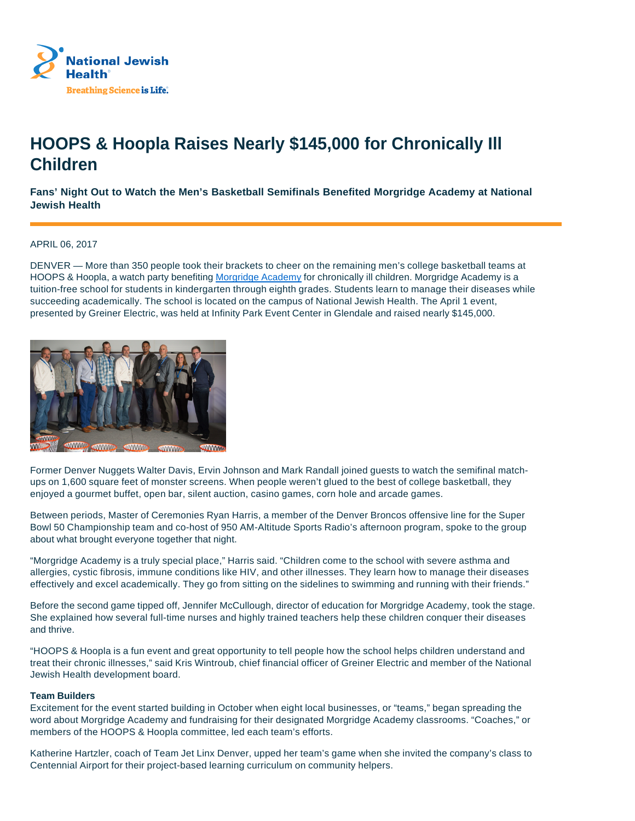

# **HOOPS & Hoopla Raises Nearly \$145,000 for Chronically Ill Children**

**Fans' Night Out to Watch the Men's Basketball Semifinals Benefited Morgridge Academy at National Jewish Health**

## APRIL 06, 2017

DENVER — More than 350 people took their brackets to cheer on the remaining men's college basketball teams at HOOPS & Hoopla, a watch party benefiting Morgridge Academy for chronically ill children. Morgridge Academy is a tuition-free school for students in kindergarten through eighth grades. Students learn to manage their diseases while succeeding academically. The school is located on the campus of National Jewish Health. The April 1 event, presented by Greiner Electric, was held at Infinity Park Event Center in Glendale and raised nearly \$145,000.



Former Denver Nuggets Walter Davis, Ervin Johnson and Mark Randall joined guests to watch the semifinal matchups on 1,600 square feet of monster screens. When people weren't glued to the best of college basketball, they enjoyed a gourmet buffet, open bar, silent auction, casino games, corn hole and arcade games.

Between periods, Master of Ceremonies Ryan Harris, a member of the Denver Broncos offensive line for the Super Bowl 50 Championship team and co-host of 950 AM-Altitude Sports Radio's afternoon program, spoke to the group about what brought everyone together that night.

"Morgridge Academy is a truly special place," Harris said. "Children come to the school with severe asthma and allergies, cystic fibrosis, immune conditions like HIV, and other illnesses. They learn how to manage their diseases effectively and excel academically. They go from sitting on the sidelines to swimming and running with their friends."

Before the second game tipped off, Jennifer McCullough, director of education for Morgridge Academy, took the stage. She explained how several full-time nurses and highly trained teachers help these children conquer their diseases and thrive.

"HOOPS & Hoopla is a fun event and great opportunity to tell people how the school helps children understand and treat their chronic illnesses," said Kris Wintroub, chief financial officer of Greiner Electric and member of the National Jewish Health development board.

## **Team Builders**

Excitement for the event started building in October when eight local businesses, or "teams," began spreading the word about Morgridge Academy and fundraising for their designated Morgridge Academy classrooms. "Coaches," or members of the HOOPS & Hoopla committee, led each team's efforts.

Katherine Hartzler, coach of Team Jet Linx Denver, upped her team's game when she invited the company's class to Centennial Airport for their project-based learning curriculum on community helpers.